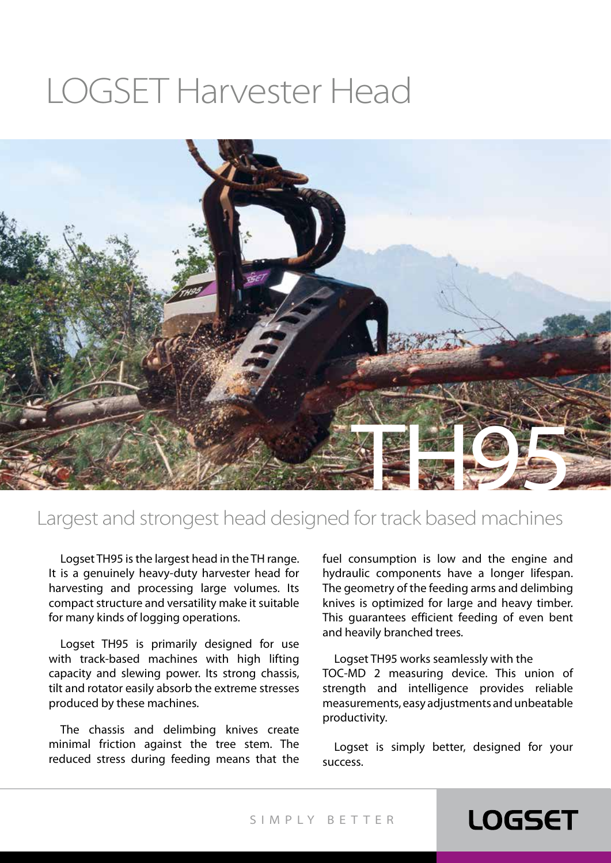# LOGSET Harvester Head



#### Largest and strongest head designed for track based machines

Logset TH95 is the largest head in the TH range. It is a genuinely heavy-duty harvester head for harvesting and processing large volumes. Its compact structure and versatility make it suitable for many kinds of logging operations.

Logset TH95 is primarily designed for use with track-based machines with high lifting capacity and slewing power. Its strong chassis, tilt and rotator easily absorb the extreme stresses produced by these machines.

The chassis and delimbing knives create minimal friction against the tree stem. The reduced stress during feeding means that the fuel consumption is low and the engine and hydraulic components have a longer lifespan. The geometry of the feeding arms and delimbing knives is optimized for large and heavy timber. This guarantees efficient feeding of even bent and heavily branched trees.

Logset TH95 works seamlessly with the TOC-MD 2 measuring device. This union of strength and intelligence provides reliable measurements, easy adjustments and unbeatable productivity.

Logset is simply better, designed for your success.

### **LOGSET**

SIMPLY BET TER